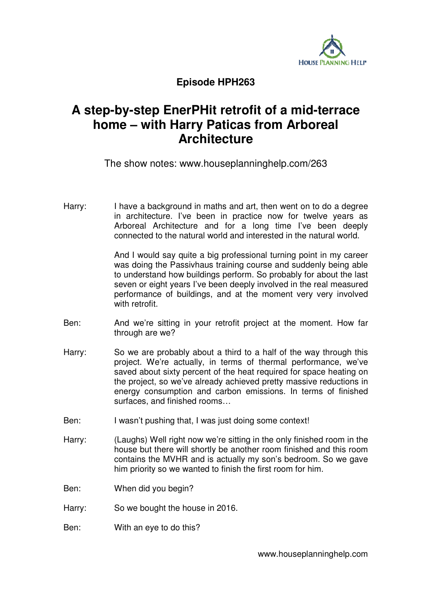

## **Episode HPH263**

## **A step-by-step EnerPHit retrofit of a mid-terrace home – with Harry Paticas from Arboreal Architecture**

The show notes: www.houseplanninghelp.com/263

Harry: I have a background in maths and art, then went on to do a degree in architecture. I've been in practice now for twelve years as Arboreal Architecture and for a long time I've been deeply connected to the natural world and interested in the natural world.

> And I would say quite a big professional turning point in my career was doing the Passivhaus training course and suddenly being able to understand how buildings perform. So probably for about the last seven or eight years I've been deeply involved in the real measured performance of buildings, and at the moment very very involved with retrofit.

- Ben: And we're sitting in your retrofit project at the moment. How far through are we?
- Harry: So we are probably about a third to a half of the way through this project. We're actually, in terms of thermal performance, we've saved about sixty percent of the heat required for space heating on the project, so we've already achieved pretty massive reductions in energy consumption and carbon emissions. In terms of finished surfaces, and finished rooms…
- Ben: I wasn't pushing that, I was just doing some context!
- Harry: (Laughs) Well right now we're sitting in the only finished room in the house but there will shortly be another room finished and this room contains the MVHR and is actually my son's bedroom. So we gave him priority so we wanted to finish the first room for him.
- Ben: When did you begin?
- Harry: So we bought the house in 2016.
- Ben: With an eye to do this?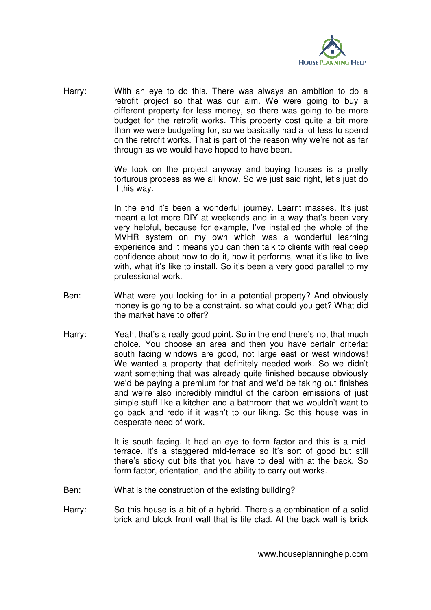

Harry: With an eye to do this. There was always an ambition to do a retrofit project so that was our aim. We were going to buy a different property for less money, so there was going to be more budget for the retrofit works. This property cost quite a bit more than we were budgeting for, so we basically had a lot less to spend on the retrofit works. That is part of the reason why we're not as far through as we would have hoped to have been.

> We took on the project anyway and buying houses is a pretty torturous process as we all know. So we just said right, let's just do it this way.

> In the end it's been a wonderful journey. Learnt masses. It's just meant a lot more DIY at weekends and in a way that's been very very helpful, because for example, I've installed the whole of the MVHR system on my own which was a wonderful learning experience and it means you can then talk to clients with real deep confidence about how to do it, how it performs, what it's like to live with, what it's like to install. So it's been a very good parallel to my professional work.

- Ben: What were you looking for in a potential property? And obviously money is going to be a constraint, so what could you get? What did the market have to offer?
- Harry: Yeah, that's a really good point. So in the end there's not that much choice. You choose an area and then you have certain criteria: south facing windows are good, not large east or west windows! We wanted a property that definitely needed work. So we didn't want something that was already quite finished because obviously we'd be paying a premium for that and we'd be taking out finishes and we're also incredibly mindful of the carbon emissions of just simple stuff like a kitchen and a bathroom that we wouldn't want to go back and redo if it wasn't to our liking. So this house was in desperate need of work.

It is south facing. It had an eye to form factor and this is a midterrace. It's a staggered mid-terrace so it's sort of good but still there's sticky out bits that you have to deal with at the back. So form factor, orientation, and the ability to carry out works.

- Ben: What is the construction of the existing building?
- Harry: So this house is a bit of a hybrid. There's a combination of a solid brick and block front wall that is tile clad. At the back wall is brick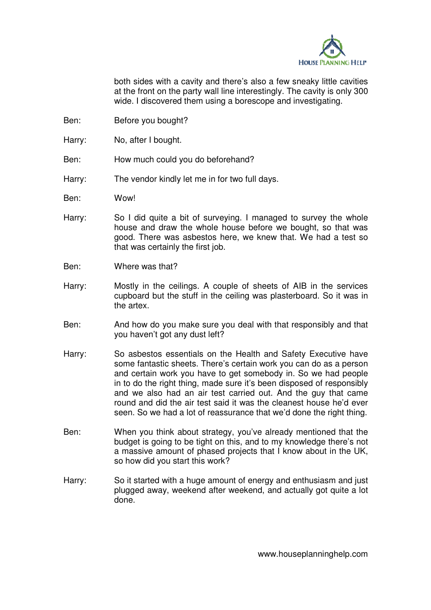

both sides with a cavity and there's also a few sneaky little cavities at the front on the party wall line interestingly. The cavity is only 300 wide. I discovered them using a borescope and investigating.

- Ben: Before you bought?
- Harry: No, after I bought.
- Ben: How much could you do beforehand?
- Harry: The vendor kindly let me in for two full days.
- Ben: Wow!
- Harry: So I did quite a bit of surveying. I managed to survey the whole house and draw the whole house before we bought, so that was good. There was asbestos here, we knew that. We had a test so that was certainly the first job.
- Ben: Where was that?
- Harry: Mostly in the ceilings. A couple of sheets of AIB in the services cupboard but the stuff in the ceiling was plasterboard. So it was in the artex.
- Ben: And how do you make sure you deal with that responsibly and that you haven't got any dust left?
- Harry: So asbestos essentials on the Health and Safety Executive have some fantastic sheets. There's certain work you can do as a person and certain work you have to get somebody in. So we had people in to do the right thing, made sure it's been disposed of responsibly and we also had an air test carried out. And the guy that came round and did the air test said it was the cleanest house he'd ever seen. So we had a lot of reassurance that we'd done the right thing.
- Ben: When you think about strategy, you've already mentioned that the budget is going to be tight on this, and to my knowledge there's not a massive amount of phased projects that I know about in the UK, so how did you start this work?
- Harry: So it started with a huge amount of energy and enthusiasm and just plugged away, weekend after weekend, and actually got quite a lot done.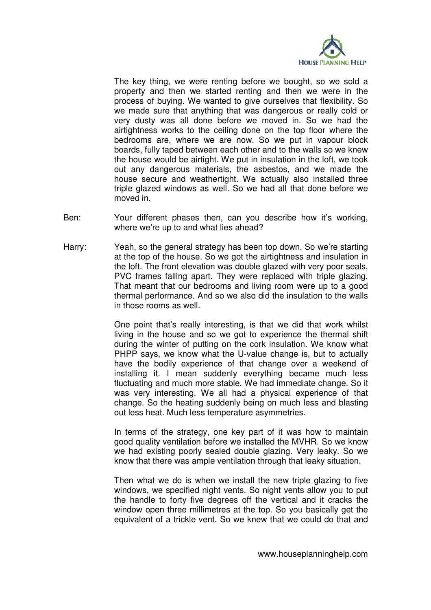

The key thing, we were renting before we bought, so we sold a property and then we started renting and then we were in the process of buying. We wanted to give ourselves that flexibility. So we made sure that anything that was dangerous or really cold or very dusty was all done before we moved in. So we had the airtightness works to the ceiling done on the top floor where the bedrooms are, where we are now. So we put in vapour block boards, fully taped between each other and to the walls so we knew the house would be airtight. We put in insulation in the loft, we took out any dangerous materials, the asbestos, and we made the house secure and weathertight. We actually also installed three triple glazed windows as well. So we had all that done before we moved in.

- Ben: Your different phases then, can you describe how it's working, where we're up to and what lies ahead?
- Harry: Yeah, so the general strategy has been top down. So we're starting at the top of the house. So we got the airtightness and insulation in the loft. The front elevation was double glazed with very poor seals, PVC frames falling apart. They were replaced with triple glazing. That meant that our bedrooms and living room were up to a good thermal performance. And so we also did the insulation to the walls in those rooms as well.

One point that's really interesting, is that we did that work whilst living in the house and so we got to experience the thermal shift during the winter of putting on the cork insulation. We know what PHPP says, we know what the U-value change is, but to actually have the bodily experience of that change over a weekend of installing it. I mean suddenly everything became much less fluctuating and much more stable. We had immediate change. So it was very interesting. We all had a physical experience of that change. So the heating suddenly being on much less and blasting out less heat. Much less temperature asymmetries.

In terms of the strategy, one key part of it was how to maintain good quality ventilation before we installed the MVHR. So we know we had existing poorly sealed double glazing. Very leaky. So we know that there was ample ventilation through that leaky situation.

Then what we do is when we install the new triple glazing to five windows, we specified night vents. So night vents allow you to put the handle to forty five degrees off the vertical and it cracks the window open three millimetres at the top. So you basically get the equivalent of a trickle vent. So we knew that we could do that and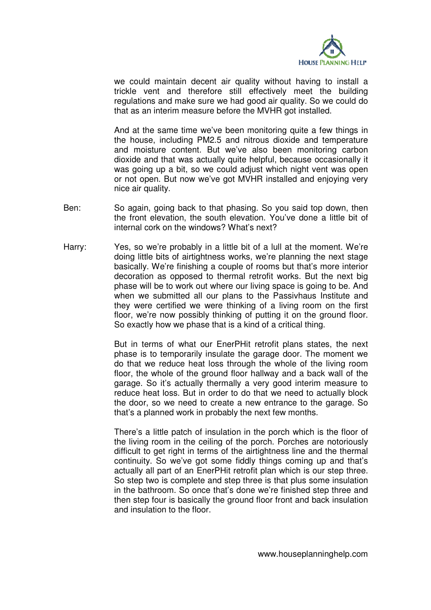

we could maintain decent air quality without having to install a trickle vent and therefore still effectively meet the building regulations and make sure we had good air quality. So we could do that as an interim measure before the MVHR got installed.

And at the same time we've been monitoring quite a few things in the house, including PM2.5 and nitrous dioxide and temperature and moisture content. But we've also been monitoring carbon dioxide and that was actually quite helpful, because occasionally it was going up a bit, so we could adjust which night vent was open or not open. But now we've got MVHR installed and enjoying very nice air quality.

- Ben: So again, going back to that phasing. So you said top down, then the front elevation, the south elevation. You've done a little bit of internal cork on the windows? What's next?
- Harry: Yes, so we're probably in a little bit of a lull at the moment. We're doing little bits of airtightness works, we're planning the next stage basically. We're finishing a couple of rooms but that's more interior decoration as opposed to thermal retrofit works. But the next big phase will be to work out where our living space is going to be. And when we submitted all our plans to the Passivhaus Institute and they were certified we were thinking of a living room on the first floor, we're now possibly thinking of putting it on the ground floor. So exactly how we phase that is a kind of a critical thing.

But in terms of what our EnerPHit retrofit plans states, the next phase is to temporarily insulate the garage door. The moment we do that we reduce heat loss through the whole of the living room floor, the whole of the ground floor hallway and a back wall of the garage. So it's actually thermally a very good interim measure to reduce heat loss. But in order to do that we need to actually block the door, so we need to create a new entrance to the garage. So that's a planned work in probably the next few months.

There's a little patch of insulation in the porch which is the floor of the living room in the ceiling of the porch. Porches are notoriously difficult to get right in terms of the airtightness line and the thermal continuity. So we've got some fiddly things coming up and that's actually all part of an EnerPHit retrofit plan which is our step three. So step two is complete and step three is that plus some insulation in the bathroom. So once that's done we're finished step three and then step four is basically the ground floor front and back insulation and insulation to the floor.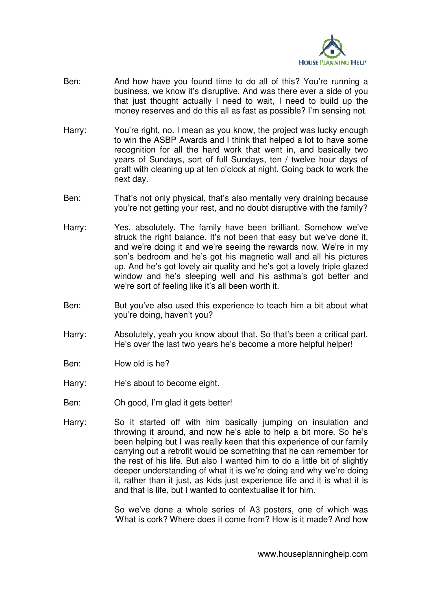

- Ben: And how have you found time to do all of this? You're running a business, we know it's disruptive. And was there ever a side of you that just thought actually I need to wait. I need to build up the money reserves and do this all as fast as possible? I'm sensing not.
- Harry: You're right, no. I mean as you know, the project was lucky enough to win the ASBP Awards and I think that helped a lot to have some recognition for all the hard work that went in, and basically two years of Sundays, sort of full Sundays, ten / twelve hour days of graft with cleaning up at ten o'clock at night. Going back to work the next day.
- Ben: That's not only physical, that's also mentally very draining because you're not getting your rest, and no doubt disruptive with the family?
- Harry: Yes, absolutely. The family have been brilliant. Somehow we've struck the right balance. It's not been that easy but we've done it, and we're doing it and we're seeing the rewards now. We're in my son's bedroom and he's got his magnetic wall and all his pictures up. And he's got lovely air quality and he's got a lovely triple glazed window and he's sleeping well and his asthma's got better and we're sort of feeling like it's all been worth it.
- Ben: But you've also used this experience to teach him a bit about what you're doing, haven't you?
- Harry: Absolutely, yeah you know about that. So that's been a critical part. He's over the last two years he's become a more helpful helper!
- Ben: How old is he?
- Harry: He's about to become eight.
- Ben: Oh good, I'm glad it gets better!
- Harry: So it started off with him basically jumping on insulation and throwing it around, and now he's able to help a bit more. So he's been helping but I was really keen that this experience of our family carrying out a retrofit would be something that he can remember for the rest of his life. But also I wanted him to do a little bit of slightly deeper understanding of what it is we're doing and why we're doing it, rather than it just, as kids just experience life and it is what it is and that is life, but I wanted to contextualise it for him.

So we've done a whole series of A3 posters, one of which was 'What is cork? Where does it come from? How is it made? And how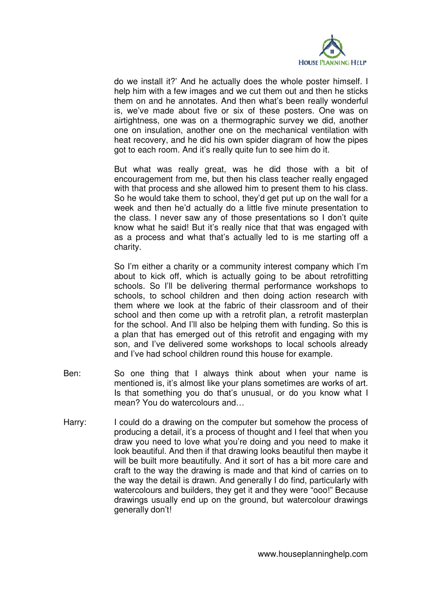

do we install it?' And he actually does the whole poster himself. I help him with a few images and we cut them out and then he sticks them on and he annotates. And then what's been really wonderful is, we've made about five or six of these posters. One was on airtightness, one was on a thermographic survey we did, another one on insulation, another one on the mechanical ventilation with heat recovery, and he did his own spider diagram of how the pipes got to each room. And it's really quite fun to see him do it.

But what was really great, was he did those with a bit of encouragement from me, but then his class teacher really engaged with that process and she allowed him to present them to his class. So he would take them to school, they'd get put up on the wall for a week and then he'd actually do a little five minute presentation to the class. I never saw any of those presentations so I don't quite know what he said! But it's really nice that that was engaged with as a process and what that's actually led to is me starting off a charity.

So I'm either a charity or a community interest company which I'm about to kick off, which is actually going to be about retrofitting schools. So I'll be delivering thermal performance workshops to schools, to school children and then doing action research with them where we look at the fabric of their classroom and of their school and then come up with a retrofit plan, a retrofit masterplan for the school. And I'll also be helping them with funding. So this is a plan that has emerged out of this retrofit and engaging with my son, and I've delivered some workshops to local schools already and I've had school children round this house for example.

- Ben: So one thing that I always think about when your name is mentioned is, it's almost like your plans sometimes are works of art. Is that something you do that's unusual, or do you know what I mean? You do watercolours and…
- Harry: I could do a drawing on the computer but somehow the process of producing a detail, it's a process of thought and I feel that when you draw you need to love what you're doing and you need to make it look beautiful. And then if that drawing looks beautiful then maybe it will be built more beautifully. And it sort of has a bit more care and craft to the way the drawing is made and that kind of carries on to the way the detail is drawn. And generally I do find, particularly with watercolours and builders, they get it and they were "ooo!" Because drawings usually end up on the ground, but watercolour drawings generally don't!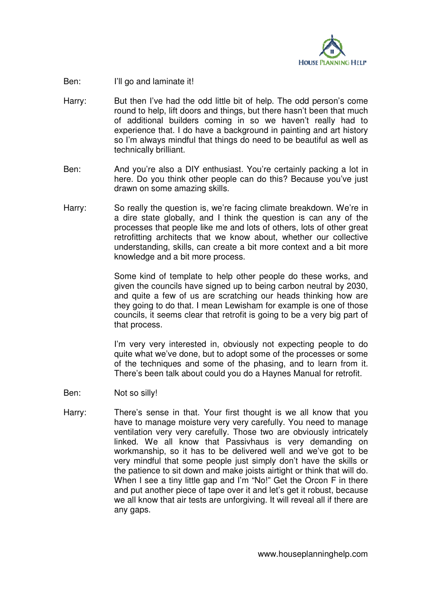

- Ben: I'll go and laminate it!
- Harry: But then I've had the odd little bit of help. The odd person's come round to help, lift doors and things, but there hasn't been that much of additional builders coming in so we haven't really had to experience that. I do have a background in painting and art history so I'm always mindful that things do need to be beautiful as well as technically brilliant.
- Ben: And you're also a DIY enthusiast. You're certainly packing a lot in here. Do you think other people can do this? Because you've just drawn on some amazing skills.
- Harry: So really the question is, we're facing climate breakdown. We're in a dire state globally, and I think the question is can any of the processes that people like me and lots of others, lots of other great retrofitting architects that we know about, whether our collective understanding, skills, can create a bit more context and a bit more knowledge and a bit more process.

Some kind of template to help other people do these works, and given the councils have signed up to being carbon neutral by 2030, and quite a few of us are scratching our heads thinking how are they going to do that. I mean Lewisham for example is one of those councils, it seems clear that retrofit is going to be a very big part of that process.

I'm very very interested in, obviously not expecting people to do quite what we've done, but to adopt some of the processes or some of the techniques and some of the phasing, and to learn from it. There's been talk about could you do a Haynes Manual for retrofit.

- Ben: Not so silly!
- Harry: There's sense in that. Your first thought is we all know that you have to manage moisture very very carefully. You need to manage ventilation very very carefully. Those two are obviously intricately linked. We all know that Passivhaus is very demanding on workmanship, so it has to be delivered well and we've got to be very mindful that some people just simply don't have the skills or the patience to sit down and make joists airtight or think that will do. When I see a tiny little gap and I'm "No!" Get the Orcon F in there and put another piece of tape over it and let's get it robust, because we all know that air tests are unforgiving. It will reveal all if there are any gaps.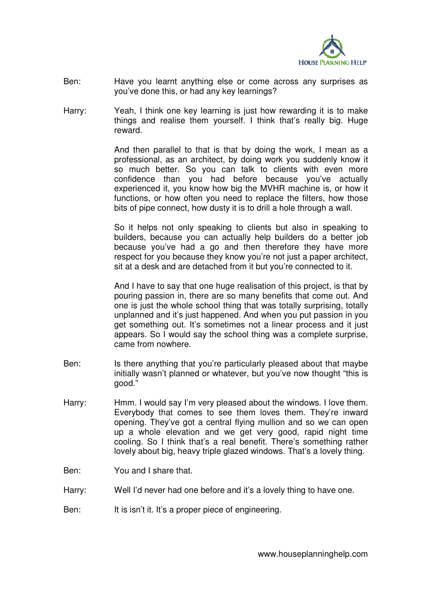

- Ben: Have you learnt anything else or come across any surprises as you've done this, or had any key learnings?
- Harry: Yeah, I think one key learning is just how rewarding it is to make things and realise them yourself. I think that's really big. Huge reward.

And then parallel to that is that by doing the work, I mean as a professional, as an architect, by doing work you suddenly know it so much better. So you can talk to clients with even more confidence than you had before because you've actually experienced it, you know how big the MVHR machine is, or how it functions, or how often you need to replace the filters, how those bits of pipe connect, how dusty it is to drill a hole through a wall.

So it helps not only speaking to clients but also in speaking to builders, because you can actually help builders do a better job because you've had a go and then therefore they have more respect for you because they know you're not just a paper architect, sit at a desk and are detached from it but you're connected to it.

And I have to say that one huge realisation of this project, is that by pouring passion in, there are so many benefits that come out. And one is just the whole school thing that was totally surprising, totally unplanned and it's just happened. And when you put passion in you get something out. It's sometimes not a linear process and it just appears. So I would say the school thing was a complete surprise, came from nowhere.

- Ben: Is there anything that you're particularly pleased about that maybe initially wasn't planned or whatever, but you've now thought "this is good."
- Harry: Hmm. I would say I'm very pleased about the windows. I love them. Everybody that comes to see them loves them. They're inward opening. They've got a central flying mullion and so we can open up a whole elevation and we get very good, rapid night time cooling. So I think that's a real benefit. There's something rather lovely about big, heavy triple glazed windows. That's a lovely thing.
- Ben: You and I share that.
- Harry: Well I'd never had one before and it's a lovely thing to have one.
- Ben: It is isn't it. It's a proper piece of engineering.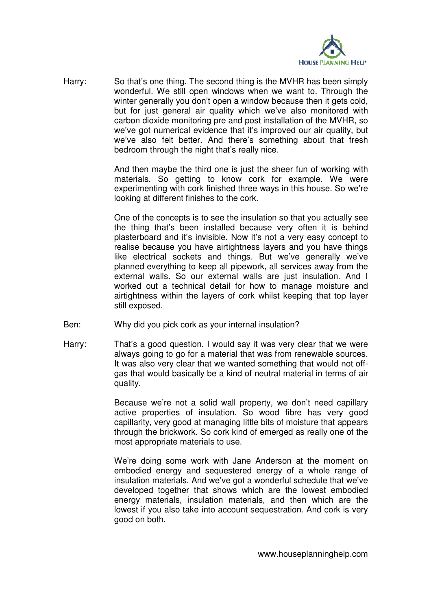

Harry: So that's one thing. The second thing is the MVHR has been simply wonderful. We still open windows when we want to. Through the winter generally you don't open a window because then it gets cold, but for just general air quality which we've also monitored with carbon dioxide monitoring pre and post installation of the MVHR, so we've got numerical evidence that it's improved our air quality, but we've also felt better. And there's something about that fresh bedroom through the night that's really nice.

> And then maybe the third one is just the sheer fun of working with materials. So getting to know cork for example. We were experimenting with cork finished three ways in this house. So we're looking at different finishes to the cork.

> One of the concepts is to see the insulation so that you actually see the thing that's been installed because very often it is behind plasterboard and it's invisible. Now it's not a very easy concept to realise because you have airtightness layers and you have things like electrical sockets and things. But we've generally we've planned everything to keep all pipework, all services away from the external walls. So our external walls are just insulation. And I worked out a technical detail for how to manage moisture and airtightness within the layers of cork whilst keeping that top layer still exposed.

- Ben: Why did you pick cork as your internal insulation?
- Harry: That's a good question. I would say it was very clear that we were always going to go for a material that was from renewable sources. It was also very clear that we wanted something that would not offgas that would basically be a kind of neutral material in terms of air quality.

Because we're not a solid wall property, we don't need capillary active properties of insulation. So wood fibre has very good capillarity, very good at managing little bits of moisture that appears through the brickwork. So cork kind of emerged as really one of the most appropriate materials to use.

We're doing some work with Jane Anderson at the moment on embodied energy and sequestered energy of a whole range of insulation materials. And we've got a wonderful schedule that we've developed together that shows which are the lowest embodied energy materials, insulation materials, and then which are the lowest if you also take into account sequestration. And cork is very good on both.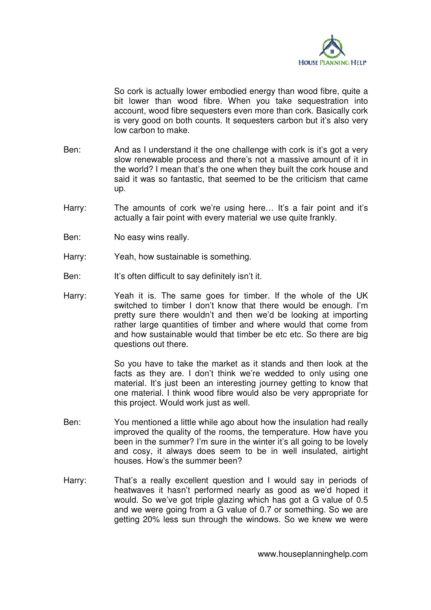

So cork is actually lower embodied energy than wood fibre, quite a bit lower than wood fibre. When you take sequestration into account, wood fibre sequesters even more than cork. Basically cork is very good on both counts. It sequesters carbon but it's also very low carbon to make.

- Ben: And as I understand it the one challenge with cork is it's got a very slow renewable process and there's not a massive amount of it in the world? I mean that's the one when they built the cork house and said it was so fantastic, that seemed to be the criticism that came up.
- Harry: The amounts of cork we're using here... It's a fair point and it's actually a fair point with every material we use quite frankly.
- Ben: No easy wins really.
- Harry: Yeah, how sustainable is something.
- Ben: It's often difficult to say definitely isn't it.
- Harry: Yeah it is. The same goes for timber. If the whole of the UK switched to timber I don't know that there would be enough. I'm pretty sure there wouldn't and then we'd be looking at importing rather large quantities of timber and where would that come from and how sustainable would that timber be etc etc. So there are big questions out there.

So you have to take the market as it stands and then look at the facts as they are. I don't think we're wedded to only using one material. It's just been an interesting journey getting to know that one material. I think wood fibre would also be very appropriate for this project. Would work just as well.

- Ben: You mentioned a little while ago about how the insulation had really improved the quality of the rooms, the temperature. How have you been in the summer? I'm sure in the winter it's all going to be lovely and cosy, it always does seem to be in well insulated, airtight houses. How's the summer been?
- Harry: That's a really excellent question and I would say in periods of heatwaves it hasn't performed nearly as good as we'd hoped it would. So we've got triple glazing which has got a G value of 0.5 and we were going from a G value of 0.7 or something. So we are getting 20% less sun through the windows. So we knew we were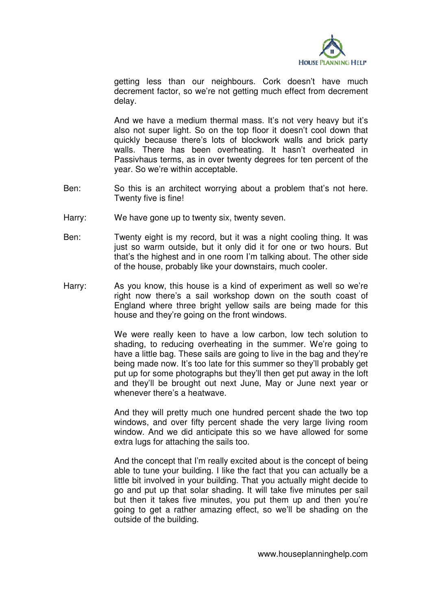

getting less than our neighbours. Cork doesn't have much decrement factor, so we're not getting much effect from decrement delay.

And we have a medium thermal mass. It's not very heavy but it's also not super light. So on the top floor it doesn't cool down that quickly because there's lots of blockwork walls and brick party walls. There has been overheating. It hasn't overheated in Passivhaus terms, as in over twenty degrees for ten percent of the year. So we're within acceptable.

- Ben: So this is an architect worrying about a problem that's not here. Twenty five is fine!
- Harry: We have gone up to twenty six, twenty seven.
- Ben: Twenty eight is my record, but it was a night cooling thing. It was just so warm outside, but it only did it for one or two hours. But that's the highest and in one room I'm talking about. The other side of the house, probably like your downstairs, much cooler.
- Harry: As you know, this house is a kind of experiment as well so we're right now there's a sail workshop down on the south coast of England where three bright yellow sails are being made for this house and they're going on the front windows.

We were really keen to have a low carbon, low tech solution to shading, to reducing overheating in the summer. We're going to have a little bag. These sails are going to live in the bag and they're being made now. It's too late for this summer so they'll probably get put up for some photographs but they'll then get put away in the loft and they'll be brought out next June, May or June next year or whenever there's a heatwave.

And they will pretty much one hundred percent shade the two top windows, and over fifty percent shade the very large living room window. And we did anticipate this so we have allowed for some extra lugs for attaching the sails too.

And the concept that I'm really excited about is the concept of being able to tune your building. I like the fact that you can actually be a little bit involved in your building. That you actually might decide to go and put up that solar shading. It will take five minutes per sail but then it takes five minutes, you put them up and then you're going to get a rather amazing effect, so we'll be shading on the outside of the building.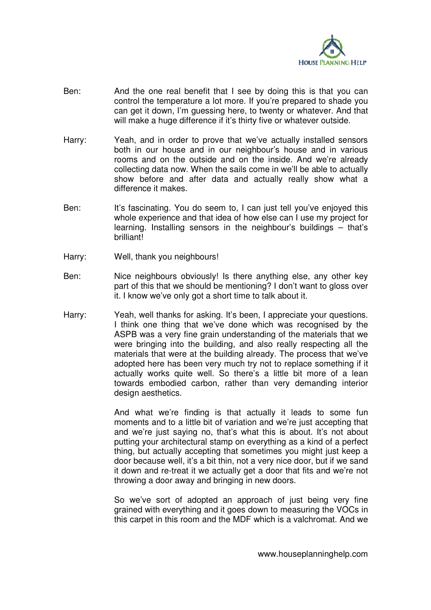

- Ben: And the one real benefit that I see by doing this is that you can control the temperature a lot more. If you're prepared to shade you can get it down, I'm guessing here, to twenty or whatever. And that will make a huge difference if it's thirty five or whatever outside.
- Harry: Yeah, and in order to prove that we've actually installed sensors both in our house and in our neighbour's house and in various rooms and on the outside and on the inside. And we're already collecting data now. When the sails come in we'll be able to actually show before and after data and actually really show what a difference it makes.
- Ben: It's fascinating. You do seem to, I can just tell you've enjoyed this whole experience and that idea of how else can I use my project for learning. Installing sensors in the neighbour's buildings – that's brilliant!
- Harry: Well, thank you neighbours!
- Ben: Nice neighbours obviously! Is there anything else, any other key part of this that we should be mentioning? I don't want to gloss over it. I know we've only got a short time to talk about it.
- Harry: Yeah, well thanks for asking. It's been, I appreciate your questions. I think one thing that we've done which was recognised by the ASPB was a very fine grain understanding of the materials that we were bringing into the building, and also really respecting all the materials that were at the building already. The process that we've adopted here has been very much try not to replace something if it actually works quite well. So there's a little bit more of a lean towards embodied carbon, rather than very demanding interior design aesthetics.

And what we're finding is that actually it leads to some fun moments and to a little bit of variation and we're just accepting that and we're just saying no, that's what this is about. It's not about putting your architectural stamp on everything as a kind of a perfect thing, but actually accepting that sometimes you might just keep a door because well, it's a bit thin, not a very nice door, but if we sand it down and re-treat it we actually get a door that fits and we're not throwing a door away and bringing in new doors.

So we've sort of adopted an approach of just being very fine grained with everything and it goes down to measuring the VOCs in this carpet in this room and the MDF which is a valchromat. And we